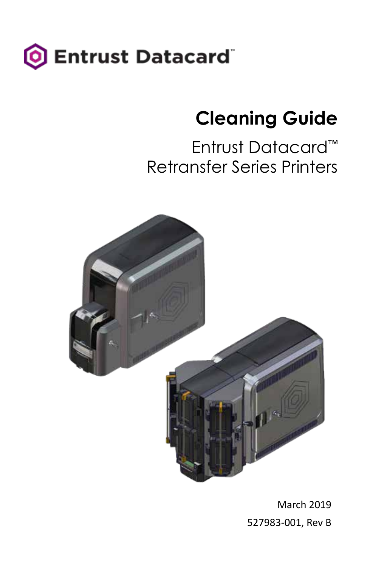

# **Cleaning Guide**

# Entrust Datacard™ Retransfer Series Printers



March 2019 527983-001, Rev B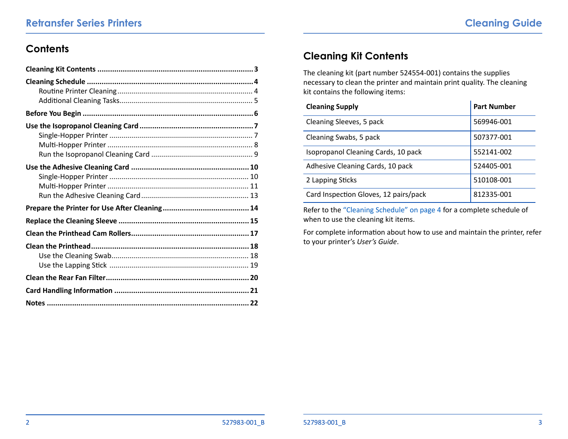## **Contents**

## **Cleaning Kit Contents**

The cleaning kit (part number 524554-001) contains the supplies necessary to clean the printer and maintain print quality. The cleaning kit contains the following items:

| <b>Cleaning Supply</b>                | <b>Part Number</b> |
|---------------------------------------|--------------------|
| Cleaning Sleeves, 5 pack              | 569946-001         |
| Cleaning Swabs, 5 pack                | 507377-001         |
| Isopropanol Cleaning Cards, 10 pack   | 552141-002         |
| Adhesive Cleaning Cards, 10 pack      | 524405-001         |
| 2 Lapping Sticks                      | 510108-001         |
| Card Inspection Gloves, 12 pairs/pack | 812335-001         |

Refer to the ["Cleaning Schedule" on page 4](#page-2-0) for a complete schedule of when to use the cleaning kit items.

For complete information about how to use and maintain the printer, refer to your printer's *User's Guide*.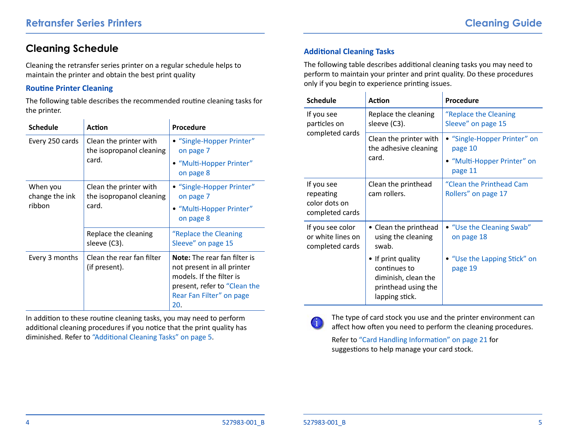## <span id="page-2-1"></span><span id="page-2-0"></span>**Cleaning Schedule**

Cleaning the retransfer series printer on a regular schedule helps to maintain the printer and obtain the best print quality

#### **Routine Printer Cleaning**

The following table describes the recommended routine cleaning tasks for the printer.

| <b>Schedule</b>                      | <b>Action</b>                                               | Procedure                                                                                                                                                        |
|--------------------------------------|-------------------------------------------------------------|------------------------------------------------------------------------------------------------------------------------------------------------------------------|
| Every 250 cards                      | Clean the printer with<br>the isopropanol cleaning<br>card. | • "Single-Hopper Printer"<br>on page 7                                                                                                                           |
|                                      |                                                             | • "Multi-Hopper Printer"<br>on page 8                                                                                                                            |
| When you<br>change the ink<br>ribbon | Clean the printer with<br>the isopropanol cleaning<br>card. | • "Single-Hopper Printer"<br>on page 7<br>• "Multi-Hopper Printer"<br>on page 8                                                                                  |
|                                      | Replace the cleaning<br>sleeve (C3).                        | "Replace the Cleaning<br>Sleeve" on page 15                                                                                                                      |
| Every 3 months                       | Clean the rear fan filter<br>(if present).                  | <b>Note:</b> The rear fan filter is<br>not present in all printer<br>models. If the filter is<br>present, refer to "Clean the<br>Rear Fan Filter" on page<br>20. |

In addition to these routine cleaning tasks, you may need to perform additional cleaning procedures if you notice that the print quality has diminished. Refer to ["Additional Cleaning Tasks" on page](#page-2-2) 5.

### <span id="page-2-2"></span>**Additional Cleaning Tasks**

The following table describes additional cleaning tasks you may need to perform to maintain your printer and print quality. Do these procedures only if you begin to experience printing issues.

| <b>Schedule</b>                                             | <b>Action</b>                                                                                      | Procedure                                       |
|-------------------------------------------------------------|----------------------------------------------------------------------------------------------------|-------------------------------------------------|
| If you see<br>particles on<br>completed cards               | Replace the cleaning<br>sleeve (C3).                                                               | "Replace the Cleaning<br>Sleeve" on page 15     |
|                                                             | Clean the printer with<br>the adhesive cleaning<br>card.                                           | • "Single-Hopper Printer" on<br>page 10         |
|                                                             |                                                                                                    | • "Multi-Hopper Printer" on<br>page 11          |
| If you see<br>repeating<br>color dots on<br>completed cards | Clean the printhead<br>cam rollers.                                                                | "Clean the Printhead Cam<br>Rollers" on page 17 |
| If you see color<br>or white lines on<br>completed cards    | • Clean the printhead<br>using the cleaning<br>swab.                                               | • "Use the Cleaning Swab"<br>on page 18         |
|                                                             | • If print quality<br>continues to<br>diminish, clean the<br>printhead using the<br>lapping stick. | "Use the Lapping Stick" on<br>page 19           |



The type of card stock you use and the printer environment can affect how often you need to perform the cleaning procedures.

Refer to ["Card Handling Information" on page](#page-10-2) 21 for suggestions to help manage your card stock.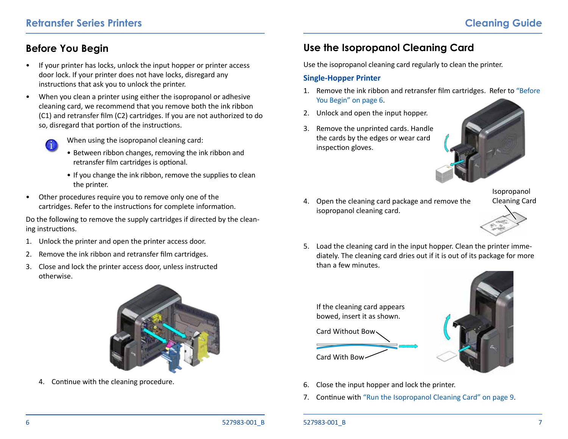## <span id="page-3-2"></span><span id="page-3-0"></span>**Before You Begin**

- If your printer has locks, unlock the input hopper or printer access door lock. If your printer does not have locks, disregard any instructions that ask you to unlock the printer.
- When you clean a printer using either the isopropanol or adhesive cleaning card, we recommend that you remove both the ink ribbon (C1) and retransfer film (C2) cartridges. If you are not authorized to do so, disregard that portion of the instructions.



When using the isopropanol cleaning card:

- Between ribbon changes, removing the ink ribbon and retransfer film cartridges is optional.
- If you change the ink ribbon, remove the supplies to clean the printer.
- Other procedures require you to remove only one of the cartridges. Refer to the instructions for complete information.

Do the following to remove the supply cartridges if directed by the cleaning instructions.

- 1. Unlock the printer and open the printer access door.
- 2. Remove the ink ribbon and retransfer film cartridges.
- 3. Close and lock the printer access door, unless instructed otherwise.



4. Continue with the cleaning procedure.

## **Use the Isopropanol Cleaning Card**

Use the isopropanol cleaning card regularly to clean the printer.

#### <span id="page-3-1"></span>**Single-Hopper Printer**

- 1. Remove the ink ribbon and retransfer film cartridges. Refer to ["Before](#page-3-2)  [You Begin" on page 6](#page-3-2).
- 2. Unlock and open the input hopper.
- 3. Remove the unprinted cards. Handle the cards by the edges or wear card inspection gloves.



4. Open the cleaning card package and remove the isopropanol cleaning card.

Isopropanol Cleaning Card



5. Load the cleaning card in the input hopper. Clean the printer immediately. The cleaning card dries out if it is out of its package for more than a few minutes.



- 6. Close the input hopper and lock the printer.
- 7. Continue with ["Run the Isopropanol Cleaning Card" on page 9](#page-4-2).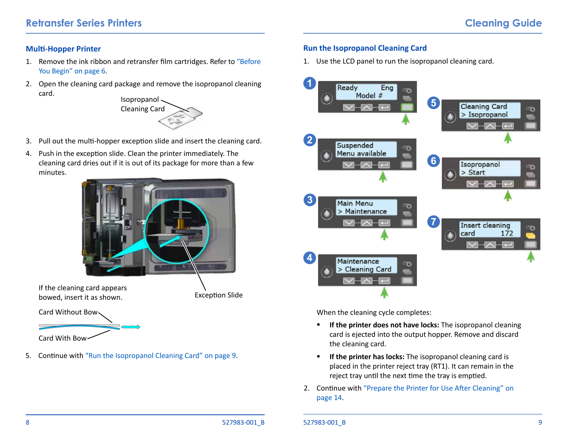## <span id="page-4-0"></span>**Retransfer Series Printers Cleaning Guide**

#### <span id="page-4-1"></span>**Multi-Hopper Printer**

- 1. Remove the ink ribbon and retransfer film cartridges. Refer to ["Before](#page-3-2)  [You Begin" on page 6.](#page-3-2)
- 2. Open the cleaning card package and remove the isopropanol cleaning card.



- 3. Pull out the multi-hopper exception slide and insert the cleaning card.
- 4. Push in the exception slide. Clean the printer immediately. The cleaning card dries out if it is out of its package for more than a few minutes.



If the cleaning card appears bowed, insert it as shown.

Exception Slide

Card Without Bow

Card With Bow

5. Continue with ["Run the Isopropanol Cleaning Card" on page 9](#page-4-2).

#### <span id="page-4-2"></span>**Run the Isopropanol Cleaning Card**

1. Use the LCD panel to run the isopropanol cleaning card.



When the cleaning cycle completes:

- **If the printer does not have locks:** The isopropanol cleaning card is ejected into the output hopper. Remove and discard the cleaning card.
- **If the printer has locks:** The isopropanol cleaning card is placed in the printer reject tray (RT1). It can remain in the reject tray until the next time the tray is emptied.
- 2. Continue with ["Prepare the Printer for Use After Cleaning" on](#page-7-2)  [page 14.](#page-7-2)

#### 8 527983-001 B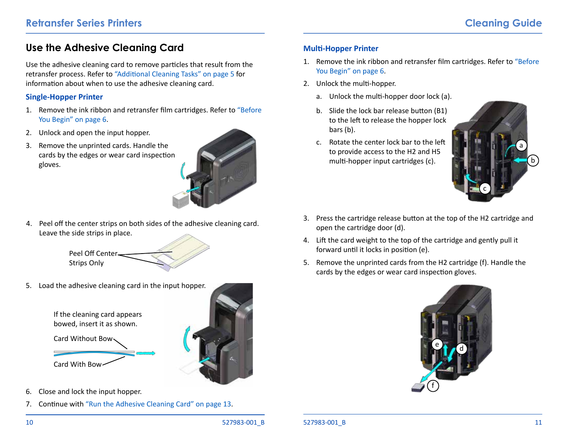## <span id="page-5-0"></span>**Use the Adhesive Cleaning Card**

Use the adhesive cleaning card to remove particles that result from the retransfer process. Refer to ["Additional Cleaning Tasks" on page](#page-2-2) 5 for information about when to use the adhesive cleaning card.

#### <span id="page-5-1"></span>**Single-Hopper Printer**

- 1. Remove the ink ribbon and retransfer film cartridges. Refer to ["Before](#page-3-2)  [You Begin" on page 6](#page-3-2).
- 2. Unlock and open the input hopper.
- 3. Remove the unprinted cards. Handle the cards by the edges or wear card inspection gloves.



4. Peel off the center strips on both sides of the adhesive cleaning card. Leave the side strips in place.

> Peel Off Center Strips Only

5. Load the adhesive cleaning card in the input hopper.

If the cleaning card appears bowed, insert it as shown.

Card Without Bow





- 6. Close and lock the input hopper.
- 7. Continue with ["Run the Adhesive Cleaning Card" on page 13](#page-6-1).

#### <span id="page-5-2"></span>**Multi-Hopper Printer**

- 1. Remove the ink ribbon and retransfer film cartridges. Refer to ["Before](#page-3-2)  [You Begin" on page 6](#page-3-2).
- 2. Unlock the multi-hopper.
	- a. Unlock the multi-hopper door lock (a).
	- b. Slide the lock bar release button (B1) to the left to release the hopper lock bars (b).
	- c. Rotate the center lock bar to the left to provide access to the H2 and H5 multi-hopper input cartridges (c).



- 3. Press the cartridge release button at the top of the H2 cartridge and open the cartridge door (d).
- 4. Lift the card weight to the top of the cartridge and gently pull it forward until it locks in position (e).
- 5. Remove the unprinted cards from the H2 cartridge (f). Handle the cards by the edges or wear card inspection gloves.

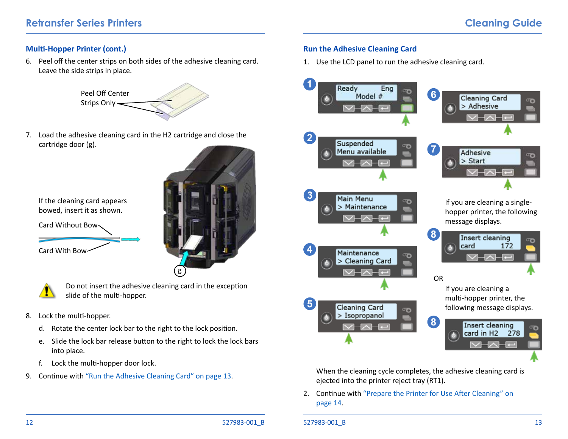## <span id="page-6-0"></span>**Retransfer Series Printers Cleaning Guide**

6. Peel off the center strips on both sides of the adhesive cleaning card. Leave the side strips in place.



7. Load the adhesive cleaning card in the H2 cartridge and close the cartridge door (g).

If the cleaning card appears bowed, insert it as shown.

Card Without Bow

Card With Bow







Do not insert the adhesive cleaning card in the exception slide of the multi-hopper.

- 8. Lock the multi-hopper.
	- d. Rotate the center lock bar to the right to the lock position.
	- e. Slide the lock bar release button to the right to lock the lock bars into place.
	- f. Lock the multi-hopper door lock.
- 9. Continue with ["Run the Adhesive Cleaning Card" on page 13](#page-6-1).

#### **Multi-Hopper Printer (cont.) Run the Adhesive Cleaning Card**

<span id="page-6-1"></span>1. Use the LCD panel to run the adhesive cleaning card.



When the cleaning cycle completes, the adhesive cleaning card is ejected into the printer reject tray (RT1).

2. Continue with ["Prepare the Printer for Use After Cleaning" on](#page-7-2)  [page 14](#page-7-2).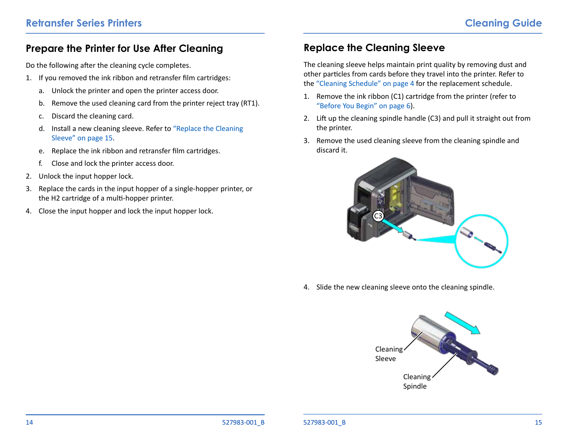## <span id="page-7-2"></span><span id="page-7-0"></span>**Prepare the Printer for Use After Cleaning**

Do the following after the cleaning cycle completes.

- 1. If you removed the ink ribbon and retransfer film cartridges:
	- a. Unlock the printer and open the printer access door.
	- b. Remove the used cleaning card from the printer reject tray (RT1).
	- c. Discard the cleaning card.
	- d. Install a new cleaning sleeve. Refer to ["Replace the Cleaning](#page-7-1)  [Sleeve" on page 15](#page-7-1).
	- e. Replace the ink ribbon and retransfer film cartridges.
	- f. Close and lock the printer access door.
- 2. Unlock the input hopper lock.
- 3. Replace the cards in the input hopper of a single-hopper printer, or the H2 cartridge of a multi-hopper printer.
- 4. Close the input hopper and lock the input hopper lock.

## <span id="page-7-1"></span>**Replace the Cleaning Sleeve**

The cleaning sleeve helps maintain print quality by removing dust and other particles from cards before they travel into the printer. Refer to the ["Cleaning Schedule" on page 4](#page-2-0) for the replacement schedule.

- 1. Remove the ink ribbon (C1) cartridge from the printer (refer to ["Before You Begin" on page 6](#page-3-2)).
- 2. Lift up the cleaning spindle handle (C3) and pull it straight out from the printer.
- 3. Remove the used cleaning sleeve from the cleaning spindle and discard it.



4. Slide the new cleaning sleeve onto the cleaning spindle.

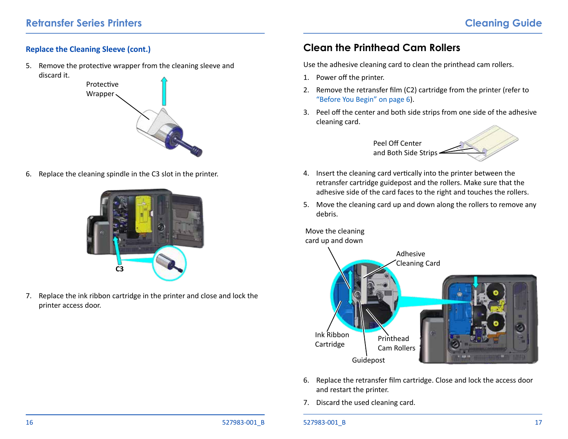5. Remove the protective wrapper from the cleaning sleeve and discard it.



6. Replace the cleaning spindle in the C3 slot in the printer.



7. Replace the ink ribbon cartridge in the printer and close and lock the printer access door.

## <span id="page-8-0"></span>**Replace the Cleaning Sleeve (cont.) Clean the Printhead Cam Rollers**

<span id="page-8-1"></span>Use the adhesive cleaning card to clean the printhead cam rollers.

1. Power off the printer.

Move the cleaning

- 2. Remove the retransfer film (C2) cartridge from the printer (refer to ["Before You Begin" on page 6\)](#page-3-2).
- 3. Peel off the center and both side strips from one side of the adhesive cleaning card.



- 4. Insert the cleaning card vertically into the printer between the retransfer cartridge guidepost and the rollers. Make sure that the adhesive side of the card faces to the right and touches the rollers.
- 5. Move the cleaning card up and down along the rollers to remove any debris.

Adhesive Cleaning Card Ink Ribbon Cartridge Guidepost **Printhead** Cam Rollers card up and down

- 6. Replace the retransfer film cartridge. Close and lock the access door and restart the printer.
- 7. Discard the used cleaning card.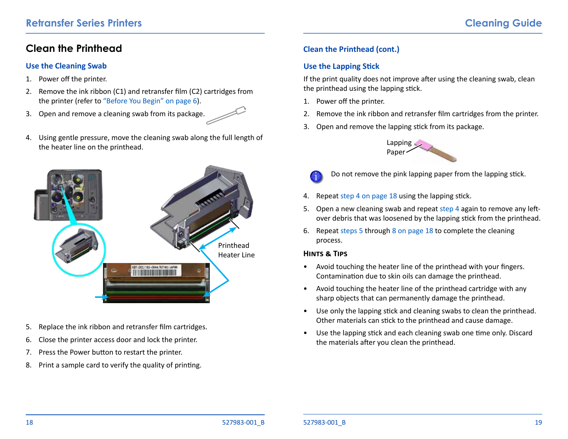## <span id="page-9-0"></span>**Clean the Printhead**

#### <span id="page-9-1"></span>**Use the Cleaning Swab**

- 1. Power off the printer.
- 2. Remove the ink ribbon (C1) and retransfer film (C2) cartridges from the printer (refer to ["Before You Begin" on page 6\)](#page-3-2).
- 3. Open and remove a cleaning swab from its package.
- <span id="page-9-3"></span>4. Using gentle pressure, move the cleaning swab along the full length of the heater line on the printhead.



- <span id="page-9-4"></span>5. Replace the ink ribbon and retransfer film cartridges.
- 6. Close the printer access door and lock the printer.
- 7. Press the Power button to restart the printer.
- <span id="page-9-5"></span>8. Print a sample card to verify the quality of printing.

#### **Clean the Printhead (cont.)**

#### <span id="page-9-2"></span>**Use the Lapping Stick**

If the print quality does not improve after using the cleaning swab, clean the printhead using the lapping stick.

- 1. Power off the printer.
- 2. Remove the ink ribbon and retransfer film cartridges from the printer.
- 3. Open and remove the lapping stick from its package.





Do not remove the pink lapping paper from the lapping stick.

- 4. Repeat step [4 on page 18](#page-9-3) using the lapping stick.
- 5. Open a new cleaning swab and repeat step [4](#page-9-3) again to remove any leftover debris that was loosened by the lapping stick from the printhead.
- 6. Repeat steps [5](#page-9-4) through [8 on page 18](#page-9-5) to complete the cleaning process.

#### **Hints & Tips**

- Avoid touching the heater line of the printhead with your fingers. Contamination due to skin oils can damage the printhead.
- Avoid touching the heater line of the printhead cartridge with any sharp objects that can permanently damage the printhead.
- Use only the lapping stick and cleaning swabs to clean the printhead. Other materials can stick to the printhead and cause damage.
- Use the lapping stick and each cleaning swab one time only. Discard the materials after you clean the printhead.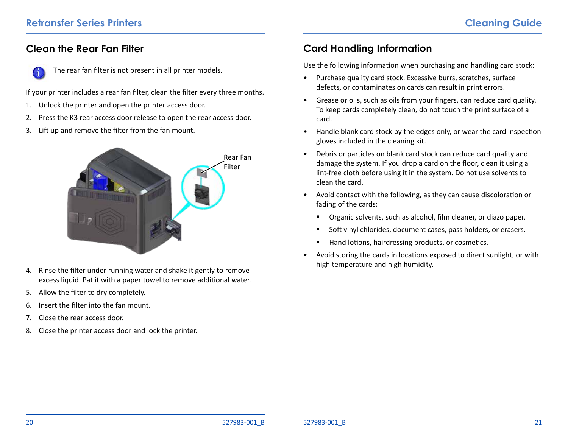### <span id="page-10-1"></span><span id="page-10-0"></span>**Clean the Rear Fan Filter**



The rear fan filter is not present in all printer models.

If your printer includes a rear fan filter, clean the filter every three months.

- 1. Unlock the printer and open the printer access door.
- 2. Press the K3 rear access door release to open the rear access door.
- 3. Lift up and remove the filter from the fan mount.



- 4. Rinse the filter under running water and shake it gently to remove excess liquid. Pat it with a paper towel to remove additional water.
- 5. Allow the filter to dry completely.
- 6. Insert the filter into the fan mount.
- 7. Close the rear access door.
- 8. Close the printer access door and lock the printer.

## <span id="page-10-2"></span>**Card Handling Information**

Use the following information when purchasing and handling card stock:

- Purchase quality card stock. Excessive burrs, scratches, surface defects, or contaminates on cards can result in print errors.
- Grease or oils, such as oils from your fingers, can reduce card quality. To keep cards completely clean, do not touch the print surface of a card.
- Handle blank card stock by the edges only, or wear the card inspection gloves included in the cleaning kit.
- Debris or particles on blank card stock can reduce card quality and damage the system. If you drop a card on the floor, clean it using a lint-free cloth before using it in the system. Do not use solvents to clean the card.
- Avoid contact with the following, as they can cause discoloration or fading of the cards:
	- Organic solvents, such as alcohol, film cleaner, or diazo paper.
	- Soft vinyl chlorides, document cases, pass holders, or erasers.
	- Hand lotions, hairdressing products, or cosmetics.
- Avoid storing the cards in locations exposed to direct sunlight, or with high temperature and high humidity.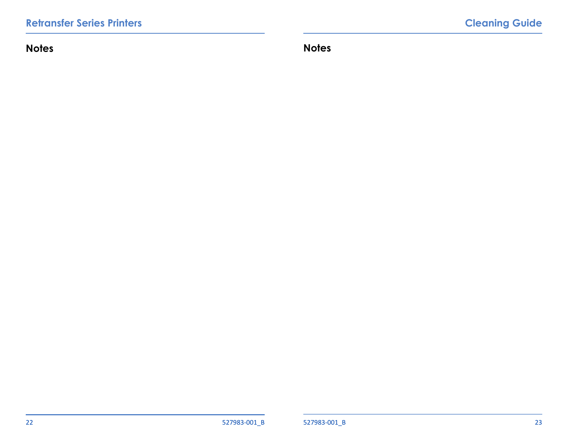<span id="page-11-0"></span>**Notes Notes**